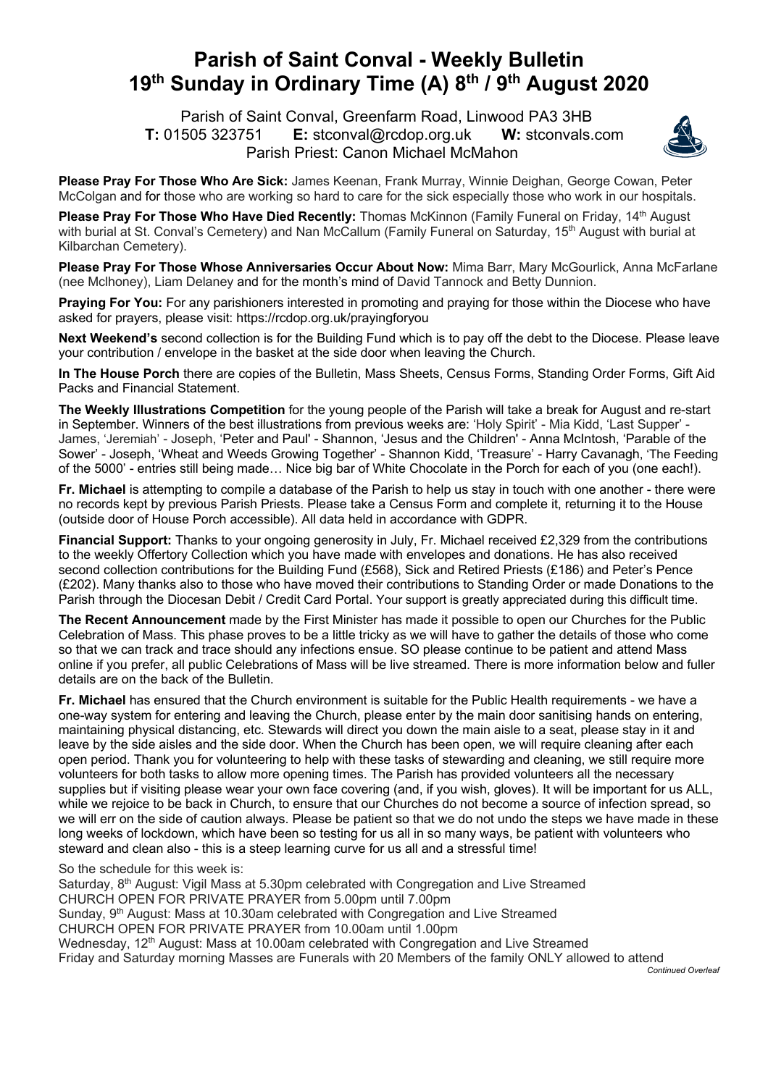## **Parish of Saint Conval - Weekly Bulletin 19th Sunday in Ordinary Time (A) 8th / 9th August 2020**

 Parish of Saint Conval, Greenfarm Road, Linwood PA3 3HB **T:** 01505 323751 **E:** stconval@rcdop.org.uk **W:** stconvals.com Parish Priest: Canon Michael McMahon



**Please Pray For Those Who Are Sick:** James Keenan, Frank Murray, Winnie Deighan, George Cowan, Peter McColgan and for those who are working so hard to care for the sick especially those who work in our hospitals.

**Please Pray For Those Who Have Died Recently:** Thomas McKinnon (Family Funeral on Friday, 14<sup>th</sup> August with burial at St. Conval's Cemetery) and Nan McCallum (Family Funeral on Saturday, 15<sup>th</sup> August with burial at Kilbarchan Cemetery).

**Please Pray For Those Whose Anniversaries Occur About Now:** Mima Barr, Mary McGourlick, Anna McFarlane (nee Mclhoney), Liam Delaney and for the month's mind of David Tannock and Betty Dunnion.

**Praying For You:** For any parishioners interested in promoting and praying for those within the Diocese who have asked for prayers, please visit: https://rcdop.org.uk/prayingforyou

**Next Weekend's** second collection is for the Building Fund which is to pay off the debt to the Diocese. Please leave your contribution / envelope in the basket at the side door when leaving the Church.

**In The House Porch** there are copies of the Bulletin, Mass Sheets, Census Forms, Standing Order Forms, Gift Aid Packs and Financial Statement.

**The Weekly Illustrations Competition** for the young people of the Parish will take a break for August and re-start in September. Winners of the best illustrations from previous weeks are: 'Holy Spirit' - Mia Kidd, 'Last Supper' - James, 'Jeremiah' - Joseph, 'Peter and Paul' - Shannon, 'Jesus and the Children' - Anna McIntosh, 'Parable of the Sower' - Joseph, 'Wheat and Weeds Growing Together' - Shannon Kidd, 'Treasure' - Harry Cavanagh, 'The Feeding of the 5000' - entries still being made… Nice big bar of White Chocolate in the Porch for each of you (one each!).

**Fr. Michael** is attempting to compile a database of the Parish to help us stay in touch with one another - there were no records kept by previous Parish Priests. Please take a Census Form and complete it, returning it to the House (outside door of House Porch accessible). All data held in accordance with GDPR.

**Financial Support:** Thanks to your ongoing generosity in July, Fr. Michael received £2,329 from the contributions to the weekly Offertory Collection which you have made with envelopes and donations. He has also received second collection contributions for the Building Fund (£568), Sick and Retired Priests (£186) and Peter's Pence (£202). Many thanks also to those who have moved their contributions to Standing Order or made Donations to the Parish through the Diocesan Debit / Credit Card Portal. Your support is greatly appreciated during this difficult time.

**The Recent Announcement** made by the First Minister has made it possible to open our Churches for the Public Celebration of Mass. This phase proves to be a little tricky as we will have to gather the details of those who come so that we can track and trace should any infections ensue. SO please continue to be patient and attend Mass online if you prefer, all public Celebrations of Mass will be live streamed. There is more information below and fuller details are on the back of the Bulletin.

**Fr. Michael** has ensured that the Church environment is suitable for the Public Health requirements - we have a one-way system for entering and leaving the Church, please enter by the main door sanitising hands on entering, maintaining physical distancing, etc. Stewards will direct you down the main aisle to a seat, please stay in it and leave by the side aisles and the side door. When the Church has been open, we will require cleaning after each open period. Thank you for volunteering to help with these tasks of stewarding and cleaning, we still require more volunteers for both tasks to allow more opening times. The Parish has provided volunteers all the necessary supplies but if visiting please wear your own face covering (and, if you wish, gloves). It will be important for us ALL, while we rejoice to be back in Church, to ensure that our Churches do not become a source of infection spread, so we will err on the side of caution always. Please be patient so that we do not undo the steps we have made in these long weeks of lockdown, which have been so testing for us all in so many ways, be patient with volunteers who steward and clean also - this is a steep learning curve for us all and a stressful time!

So the schedule for this week is:

Saturday, 8<sup>th</sup> August: Vigil Mass at 5.30pm celebrated with Congregation and Live Streamed CHURCH OPEN FOR PRIVATE PRAYER from 5.00pm until 7.00pm Sunday, 9<sup>th</sup> August: Mass at 10.30am celebrated with Congregation and Live Streamed CHURCH OPEN FOR PRIVATE PRAYER from 10.00am until 1.00pm Wednesday, 12<sup>th</sup> August: Mass at 10.00am celebrated with Congregation and Live Streamed Friday and Saturday morning Masses are Funerals with 20 Members of the family ONLY allowed to attend

*Continued Overleaf*